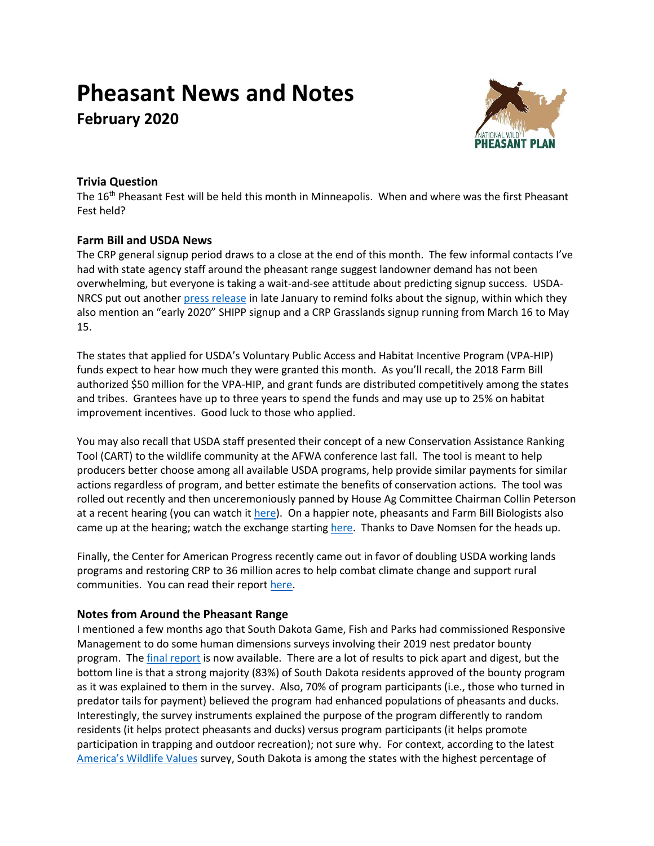# **Pheasant News and Notes**

**February 2020**



# **Trivia Question**

The 16<sup>th</sup> Pheasant Fest will be held this month in Minneapolis. When and where was the first Pheasant Fest held?

## **Farm Bill and USDA News**

The CRP general signup period draws to a close at the end of this month. The few informal contacts I've had with state agency staff around the pheasant range suggest landowner demand has not been overwhelming, but everyone is taking a wait-and-see attitude about predicting signup success. USDANRCS put out another [press release](https://www.fsa.usda.gov/news-room/news-releases/2020/usda-reminds-producers-of-feb-28-deadline-for-conservation-reserve-program-general-signup) in late January to remind folks about the signup, within which they also mention an "early 2020" SHIPP signup and a CRP Grasslands signup running from March 16 to May 15.

The states that applied for USDA's Voluntary Public Access and Habitat Incentive Program (VPA-HIP) funds expect to hear how much they were granted this month. As you'll recall, the 2018 Farm Bill authorized \$50 million for the VPA-HIP, and grant funds are distributed competitively among the states and tribes. Grantees have up to three years to spend the funds and may use up to 25% on habitat improvement incentives. Good luck to those who applied.

You may also recall that USDA staff presented their concept of a new Conservation Assistance Ranking Tool (CART) to the wildlife community at the AFWA conference last fall. The tool is meant to help producers better choose among all available USDA programs, help provide similar payments for similar actions regardless of program, and better estimate the benefits of conservation actions. The tool was rolled out recently and then unceremoniously panned by House Ag Committee Chairman Collin Peterson at a recent hearing (you can watch it [here\)](https://www.youtube.com/watch?time_continue=3578&v=E4EsaOUlKzg&feature=emb_logo&t=2415s). On a happier note, pheasants and Farm Bill Biologists also came up at the hearing; watch the exchange starting [here.](https://www.youtube.com/watch?time_continue=3578&v=E4EsaOUlKzg&feature=emb_logo&t=3375s) Thanks to Dave Nomsen for the heads up.

Finally, the Center for American Progress recently came out in favor of doubling USDA working lands programs and restoring CRP to 36 million acres to help combat climate change and support rural communities. You can read their report [here.](https://www.americanprogress.org/issues/green/reports/2020/01/08/479168/building-100-percent-clean-future-can-drive-additional-8-billion-year-rural-communities/)

## **Notes from Around the Pheasant Range**

I mentioned a few months ago that South Dakota Game, Fish and Parks had commissioned Responsive Management to do some human dimensions surveys involving their 2019 nest predator bounty program. Th[e final report](https://gfp.sd.gov/userdocs/docs/2019_Nest_Predator_Bouny_Program_Survey_Report.pdf) is now available. There are a lot of results to pick apart and digest, but the bottom line is that a strong majority (83%) of South Dakota residents approved of the bounty program as it was explained to them in the survey. Also, 70% of program participants (i.e., those who turned in predator tails for payment) believed the program had enhanced populations of pheasants and ducks. Interestingly, the survey instruments explained the purpose of the program differently to random residents (it helps protect pheasants and ducks) versus program participants (it helps promote participation in trapping and outdoor recreation); not sure why. For context, according to the latest [America's Wildlife Values](https://sites.warnercnr.colostate.edu/wildlifevalues/wp-content/uploads/sites/124/2019/01/AWV-National-Final-Report.pdf) survey, South Dakota is among the states with the highest percentage of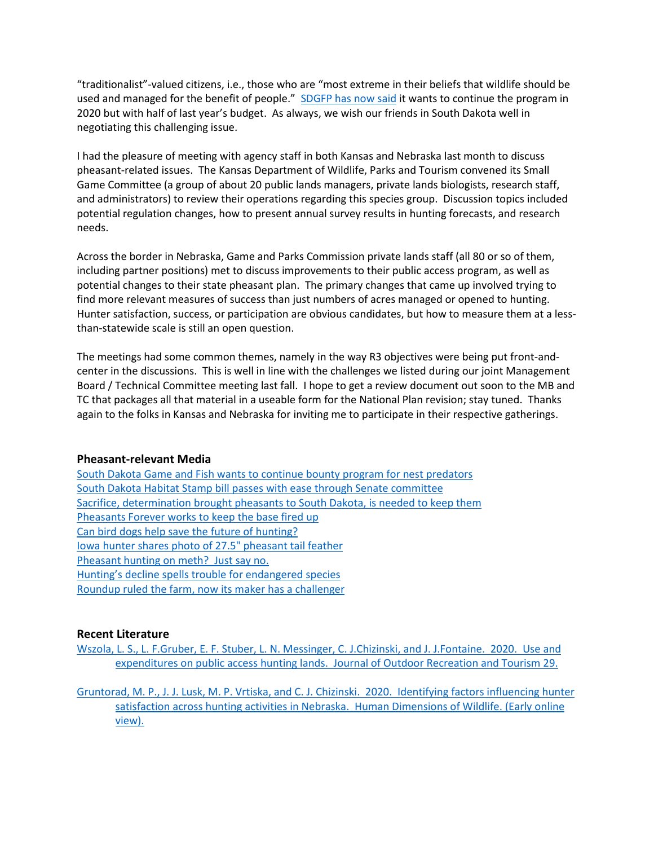"traditionalist"-valued citizens, i.e., those who are "most extreme in their beliefs that wildlife should be used and managed for the benefit of people." SDGFP [has now said](https://www.inforum.com/news/government-and-politics/4919448-South-Dakota-Game-and-Fish-wants-to-continue-bounty-program-for-nest-predators) it wants to continue the program in 2020 but with half of last year's budget. As always, we wish our friends in South Dakota well in negotiating this challenging issue.

I had the pleasure of meeting with agency staff in both Kansas and Nebraska last month to discuss pheasant-related issues. The Kansas Department of Wildlife, Parks and Tourism convened its Small Game Committee (a group of about 20 public lands managers, private lands biologists, research staff, and administrators) to review their operations regarding this species group. Discussion topics included potential regulation changes, how to present annual survey results in hunting forecasts, and research needs.

Across the border in Nebraska, Game and Parks Commission private lands staff (all 80 or so of them, including partner positions) met to discuss improvements to their public access program, as well as potential changes to their state pheasant plan. The primary changes that came up involved trying to find more relevant measures of success than just numbers of acres managed or opened to hunting. Hunter satisfaction, success, or participation are obvious candidates, but how to measure them at a lessthan-statewide scale is still an open question.

The meetings had some common themes, namely in the way R3 objectives were being put front-andcenter in the discussions. This is well in line with the challenges we listed during our joint Management Board / Technical Committee meeting last fall. I hope to get a review document out soon to the MB and TC that packages all that material in a useable form for the National Plan revision; stay tuned. Thanks again to the folks in Kansas and Nebraska for inviting me to participate in their respective gatherings.

## **Pheasant-relevant Media**

[South Dakota Game and Fish wants to continue bounty program for nest predators](https://www.inforum.com/news/government-and-politics/4919448-South-Dakota-Game-and-Fish-wants-to-continue-bounty-program-for-nest-predators) [South Dakota Habitat Stamp bill passes with ease through Senate committee](https://www.inforum.com/news/government-and-politics/4920941-South-Dakota-Habitat-Stamp-bill-passes-with-ease-through-Senate-committee) [Sacrifice, determination brought pheasants to South Dakota, is needed to keep them](https://www.aberdeennews.com/news/opinion/columnists/schalkle-sacrifice-determination-brought-pheasants-to-sd-is-needed-to/article_239104f8-42de-11ea-b674-73b686615673.html) [Pheasants Forever works to keep the base fired up](http://www.startribune.com/anderson-pheasants-forever-works-to-keep-the-base-fired-up/567045442/) [Can bird dogs help save the future of hunting?](https://projectupland.com/hunting-conservation/confirming-bird-dogs-as-a-silver-bullet-of-r3-2/) [Iowa hunter shares photo of 27.5" pheasant tail feather](https://whoradio.iheart.com/content/2020-01-10-iowa-hunter-shares-photo-of-275-pheasant-tail-feather/) [Pheasant hunting on meth? Just say no.](https://www.nwestiowa.com/news/ex-matlock-man-sent-to-federal-prison/article_39f46b5e-44a5-11ea-9414-3b7c8cae534e.html) [Hunting's decline spells trouble for endangered species](https://www.washingtonpost.com/national/hunting-is-slowly-dying-off-and-that-has-created-a-crisis-for-the-nations-public-lands/2020/02/02/554f51ac-331b-11ea-a053-dc6d944ba776_story.html) [Roundup ruled the farm, now its maker has a challenger](https://www.wsj.com/articles/roundup-ruled-the-farm-now-its-maker-has-a-challenger-11578328409)

## **Recent Literature**

Wszola, L. S., L. F.Gruber, E. F. Stuber, L. N. Messinger, C. J.Chizinski, and J. [J.Fontaine. 2020. Use and](https://doi.org/10.1016/j.jort.2019.100256)  [expenditures on public access hunting lands. Journal of Outdoor Recreation and Tourism 29.](https://doi.org/10.1016/j.jort.2019.100256)

[Gruntorad, M. P., J. J. Lusk, M. P. Vrtiska, and C. J. Chizinski. 2020. Identifying factors influencing hunter](https://doi.org/10.1080/10871209.2020.1722866)  [satisfaction across hunting activities in Nebraska. Human Dimensions of Wildlife. \(Early online](https://doi.org/10.1080/10871209.2020.1722866)  [view\).](https://doi.org/10.1080/10871209.2020.1722866)